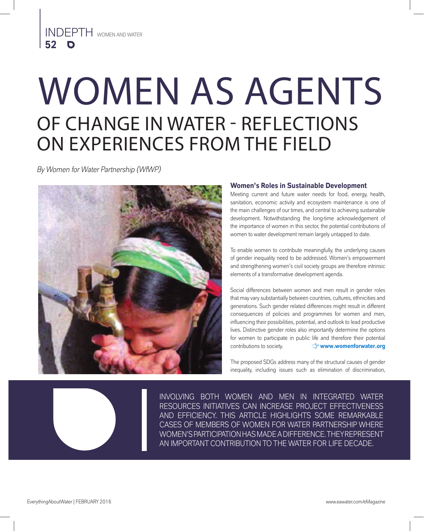# WOMEN AS AGENTS OF CHANGE IN WATER - REFLECTIONS ON EXPERIENCES FROM THE FIELD

*By Women for Water Partnership (WfWP)*



# **Women's Roles in Sustainable Development**

Meeting current and future water needs for food, energy, health, sanitation, economic activity and ecosystem maintenance is one of the main challenges of our times, and central to achieving sustainable development. Notwithstanding the long-time acknowledgement of the importance of women in this sector, the potential contributions of women to water development remain largely untapped to date.

To enable women to contribute meaningfully, the underlying causes of gender inequality need to be addressed. Women's empowerment and strengthening women's civil society groups are therefore intrinsic elements of a transformative development agenda.

Social differences between women and men result in gender roles that may vary substantially between countries, cultures, ethnicities and generations. Such gender related differences might result in different consequences of policies and programmes for women and men, influencing their possibilities, potential, and outlook to lead productive lives. Distinctive gender roles also importantly determine the options for women to participate in public life and therefore their potential contributions to society. **www.womenforwater.org**

The proposed SDGs address many of the structural causes of gender inequality, including issues such as elimination of discrimination,

INVOLVING BOTH WOMEN AND MEN IN INTEGRATED WATER RESOURCES INITIATIVES CAN INCREASE PROJECT EFFECTIVENESS AND EFFICIENCY. THIS ARTICLE HIGHLIGHTS SOME REMARKABLE CASES OF MEMBERS OF WOMEN FOR WATER PARTNERSHIP WHERE WOMEN'S PARTICIPATION HAS MADE A DIFFERENCE. THEY REPRESENT AN IMPORTANT CONTRIBUTION TO THE WATER FOR LIFE DECADE.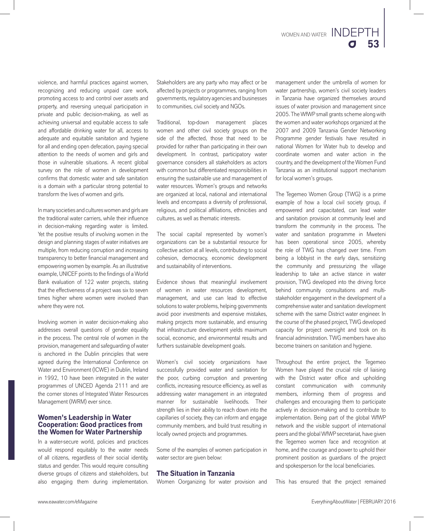violence, and harmful practices against women, recognizing and reducing unpaid care work, promoting access to and control over assets and property, and reversing unequal participation in private and public decision-making, as well as achieving universal and equitable access to safe and affordable drinking water for all, access to adequate and equitable sanitation and hygiene for all and ending open defecation, paying special attention to the needs of women and girls and those in vulnerable situations. A recent global survey on the role of women in development confirms that domestic water and safe sanitation is a domain with a particular strong potential to transform the lives of women and girls.

In many societies and cultures women and girls are the traditional water carriers, while their influence in decision-making regarding water is limited. Yet the positive results of involving women in the design and planning stages of water initiatives are multiple, from reducing corruption and increasing transparency to better financial management and empowering women by example. As an illustrative example, UNICEF points to the findings of a World Bank evaluation of 122 water projects, stating that the effectiveness of a project was six to seven times higher where women were involved than where they were not.

Involving women in water decision-making also addresses overall questions of gender equality in the process. The central role of women in the provision, management and safeguarding of water is anchored in the Dublin principles that were agreed during the International Conference on Water and Environment (ICWE) in Dublin, Ireland in 1992, 10 have been integrated in the water programmes of UNCED Agenda 2111 and are the corner stones of Integrated Water Resources Management (IWRM) ever since.

### **Women's Leadership in Water Cooperation: Good practices from the Women for Water Partnership**

In a water-secure world, policies and practices would respond equitably to the water needs of all citizens, regardless of their social identity, status and gender. This would require consulting diverse groups of citizens and stakeholders, but also engaging them during implementation.

Stakeholders are any party who may affect or be affected by projects or programmes, ranging from governments, regulatory agencies and businesses to communities, civil society and NGOs.

Traditional, top-down management places women and other civil society groups on the side of the affected, those that need to be provided for rather than participating in their own development. In contrast, participatory water governance considers all stakeholders as actors with common but differentiated responsibilities in ensuring the sustainable use and management of water resources. Women's groups and networks are organized at local, national and international levels and encompass a diversity of professional, religious, and political affiliations, ethnicities and cultures, as well as thematic interests.

The social capital represented by women's organizations can be a substantial resource for collective action at all levels, contributing to social cohesion, democracy, economic development and sustainability of interventions.

Evidence shows that meaningful involvement of women in water resources development, management, and use can lead to effective solutions to water problems, helping governments avoid poor investments and expensive mistakes, making projects more sustainable, and ensuring that infrastructure development yields maximum social, economic, and environmental results and furthers sustainable development goals.

Women's civil society organizations have successfully provided water and sanitation for the poor, curbing corruption and preventing conflicts, increasing resource efficiency, as well as addressing water management in an integrated manner for sustainable livelihoods. Their strength lies in their ability to reach down into the capillaries of society, they can inform and engage community members, and build trust resulting in locally owned projects and programmes.

Some of the examples of women participation in water sector are given below:

# **The Situation in Tanzania**

Women Oorganizing for water provision and

management under the umbrella of women for water partnership, women's civil society leaders in Tanzania have organized themselves around issues of water provision and management since 2005. The WfWP small grants scheme along with the women and water workshops organized at the 2007 and 2009 Tanzania Gender Networking Programme gender festivals have resulted in national Women for Water hub to develop and coordinate women and water action in the country, and the development of the Women Fund Tanzania as an institutional support mechanism for local women's groups.

The Tegemeo Women Group (TWG) is a prime example of how a local civil society group, if empowered and capacitated, can lead water and sanitation provision at community level and transform the community in the process. The water and sanitation programme in Mweteni has been operational since 2005, whereby the role of TWG has changed over time. From being a lobbyist in the early days, sensitizing the community and pressurizing the village leadership to take an active stance in water provision, TWG developed into the driving force behind community consultations and multistakeholder engagement in the development of a comprehensive water and sanitation development scheme with the same District water engineer. In the course of the phased project, TWG developed capacity for project oversight and took on its financial administration. TWG members have also become trainers on sanitation and hygiene.

Throughout the entire project, the Tegemeo Women have played the crucial role of liaising with the District water office and upholding constant communication with community members, informing them of progress and challenges and encouraging them to participate actively in decision-making and to contribute to implementation. Being part of the global WfWP network and the visible support of international peers and the global WfWP secretariat, have given the Tegemeo women face and recognition at home, and the courage and power to uphold their prominent position as guardians of the project and spokesperson for the local beneficiaries.

This has ensured that the project remained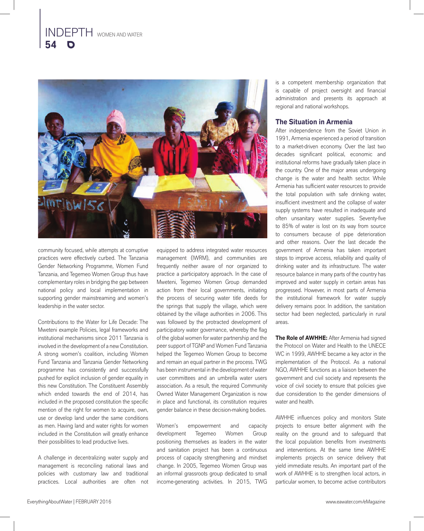

community focused, while attempts at corruptive practices were effectively curbed. The Tanzania Gender Networking Programme, Women Fund Tanzania, and Tegemeo Women Group thus have complementary roles in bridging the gap between national policy and local implementation in supporting gender mainstreaming and women's leadership in the water sector.

Contributions to the Water for Life Decade: The Mweteni example Policies, legal frameworks and institutional mechanisms since 2011 Tanzania is involved in the development of a new Constitution. A strong women's coalition, including Women Fund Tanzania and Tanzania Gender Networking programme has consistently and successfully pushed for explicit inclusion of gender equality in this new Constitution. The Constituent Assembly which ended towards the end of 2014, has included in the proposed constitution the specific mention of the right for women to acquire, own, use or develop land under the same conditions as men. Having land and water rights for women included in the Constitution will greatly enhance their possibilities to lead productive lives.

A challenge in decentralizing water supply and management is reconciling national laws and policies with customary law and traditional practices. Local authorities are often not

equipped to address integrated water resources management (IWRM), and communities are frequently neither aware of nor organized to practice a participatory approach. In the case of Mweteni, Tegemeo Women Group demanded action from their local governments, initiating the process of securing water title deeds for the springs that supply the village, which were obtained by the village authorities in 2006. This was followed by the protracted development of participatory water governance, whereby the flag of the global women for water partnership and the peer support of TGNP and Women Fund Tanzania helped the Tegemeo Women Group to become and remain an equal partner in the process. TWG has been instrumental in the development of water user committees and an umbrella water users association. As a result, the required Community Owned Water Management Organization is now in place and functional, its constitution requires gender balance in these decision-making bodies.

Women's empowerment and capacity development Tegemeo Women Group positioning themselves as leaders in the water and sanitation project has been a continuous process of capacity strengthening and mindset change. In 2005, Tegemeo Women Group was an informal grassroots group dedicated to small income-generating activities. In 2015, TWG

is a competent membership organization that is capable of project oversight and financial administration and presents its approach at regional and national workshops.

### **The Situation in Armenia**

After independence from the Soviet Union in 1991, Armenia experienced a period of transition to a market-driven economy. Over the last two decades significant political, economic and institutional reforms have gradually taken place in the country. One of the major areas undergoing change is the water and health sector. While Armenia has sufficient water resources to provide the total population with safe drinking water, insufficient investment and the collapse of water supply systems have resulted in inadequate and often unsanitary water supplies. Seventy-five to 85% of water is lost on its way from source to consumers because of pipe deterioration and other reasons. Over the last decade the government of Armenia has taken important steps to improve access, reliability and quality of drinking water and its infrastructure. The water resource balance in many parts of the country has improved and water supply in certain areas has progressed. However, in most parts of Armenia the institutional framework for water supply delivery remains poor. In addition, the sanitation sector had been neglected, particularly in rural areas.

**The Role of AWHHE:** After Armenia had signed the Protocol on Water and Health to the UNECE WC in 1999, AWHHE became a key actor in the implementation of the Protocol. As a national NGO, AWHHE functions as a liaison between the government and civil society and represents the voice of civil society to ensure that policies give due consideration to the gender dimensions of water and health.

AWHHE influences policy and monitors State projects to ensure better alignment with the reality on the ground and to safeguard that the local population benefits from investments and interventions. At the same time AWHHE implements projects on service delivery that yield immediate results. An important part of the work of AWHHE is to strengthen local actors, in particular women, to become active contributors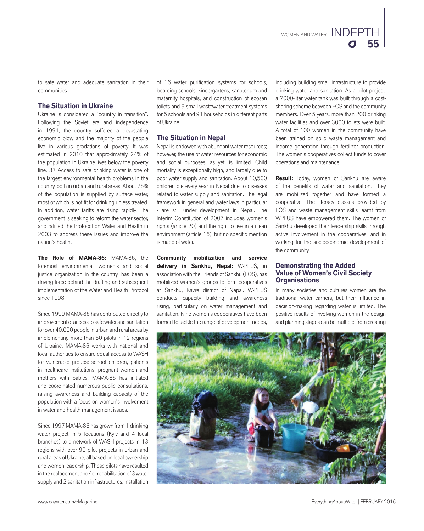

to safe water and adequate sanitation in their communities.

### **The Situation in Ukraine**

Ukraine is considered a "country in transition". Following the Soviet era and independence in 1991, the country suffered a devastating economic blow and the majority of the people live in various gradations of poverty. It was estimated in 2010 that approximately 24% of the population in Ukraine lives below the poverty line. 37 Access to safe drinking water is one of the largest environmental health problems in the country, both in urban and rural areas. About 75% of the population is supplied by surface water, most of which is not fit for drinking unless treated. In addition, water tariffs are rising rapidly. The government is seeking to reform the water sector, and ratified the Protocol on Water and Health in 2003 to address these issues and improve the nation's health.

**The Role of MAMA-86:** MAMA-86, the foremost environmental, women's and social justice organization in the country, has been a driving force behind the drafting and subsequent implementation of the Water and Health Protocol since 1998.

Since 1999 MAMA-86 has contributed directly to improvement of access to safe water and sanitation for over 40,000 people in urban and rural areas by implementing more than 50 pilots in 12 regions of Ukraine. MAMA-86 works with national and local authorities to ensure equal access to WASH for vulnerable groups: school children, patients in healthcare institutions, pregnant women and mothers with babies. MAMA-86 has initiated and coordinated numerous public consultations, raising awareness and building capacity of the population with a focus on women's involvement in water and health management issues.

Since 1997 MAMA-86 has grown from 1 drinking water project in 5 locations (Kyiv and 4 local branches) to a network of WASH projects in 13 regions with over 90 pilot projects in urban and rural areas of Ukraine, all based on local ownership and women leadership. These pilots have resulted in the replacement and/ or rehabilitation of 3 water supply and 2 sanitation infrastructures, installation

of 16 water purification systems for schools, boarding schools, kindergartens, sanatorium and maternity hospitals, and construction of ecosan toilets and 9 small wastewater treatment systems for 5 schools and 91 households in different parts of Ukraine.

# **The Situation in Nepal**

Nepal is endowed with abundant water resources; however, the use of water resources for economic and social purposes, as yet, is limited. Child mortality is exceptionally high, and largely due to poor water supply and sanitation. About 10,500 children die every year in Nepal due to diseases related to water supply and sanitation. The legal framework in general and water laws in particular - are still under development in Nepal. The Interim Constitution of 2007 includes women's rights (article 20) and the right to live in a clean environment (article 16), but no specific mention is made of water.

**Community mobilization and service delivery in Sankhu, Nepal:** W-PLUS, in association with the Friends of Sankhu (FOS), has mobilized women's groups to form cooperatives at Sankhu, Kavre district of Nepal. W-PLUS conducts capacity building and awareness rising, particularly on water management and sanitation. Nine women's cooperatives have been formed to tackle the range of development needs,

including building small infrastructure to provide drinking water and sanitation. As a pilot project, a 7000-liter water tank was built through a costsharing scheme between FOS and the community members. Over 5 years, more than 200 drinking water facilities and over 3000 toilets were built. A total of 100 women in the community have been trained on solid waste management and income generation through fertilizer production. The women's cooperatives collect funds to cover operations and maintenance.

**Result:** Today, women of Sankhu are aware of the benefits of water and sanitation. They are mobilized together and have formed a cooperative. The literacy classes provided by FOS and waste management skills learnt from WPLUS have empowered them. The women of Sankhu developed their leadership skills through active involvement in the cooperatives, and in working for the socioeconomic development of the community.

### **Demonstrating the Added Value of Women's Civil Society Organisations**

In many societies and cultures women are the traditional water carriers, but their influence in decision-making regarding water is limited. The positive results of involving women in the design and planning stages can be multiple, from creating